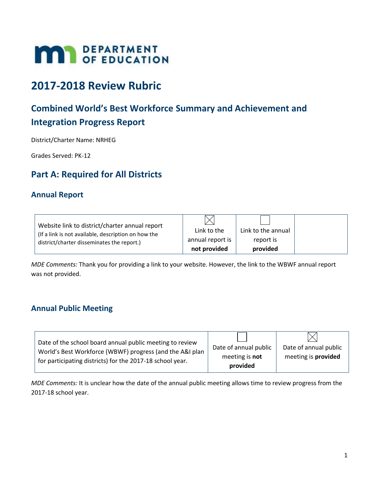# **MAY DEPARTMENT**

# **2017-2018 Review Rubric**

# **Combined World's Best Workforce Summary and Achievement and Integration Progress Report**

District/Charter Name: NRHEG

Grades Served: PK-12

# **Part A: Required for All Districts**

## **Annual Report**

| Website link to district/charter annual report      |                  |                    |
|-----------------------------------------------------|------------------|--------------------|
| (If a link is not available, description on how the | Link to the      | Link to the annual |
| district/charter disseminates the report.)          | annual report is | report is          |
|                                                     | not provided     | provided           |

*MDE Comments:* Thank you for providing a link to your website. However, the link to the WBWF annual report was not provided.

## **Annual Public Meeting**

| Date of the school board annual public meeting to review                                                              |                                                     |                                                     |
|-----------------------------------------------------------------------------------------------------------------------|-----------------------------------------------------|-----------------------------------------------------|
| World's Best Workforce (WBWF) progress (and the A&I plan<br>for participating districts) for the 2017-18 school year. | Date of annual public<br>meeting is not<br>provided | Date of annual public<br>meeting is <b>provided</b> |

*MDE Comments:* It is unclear how the date of the annual public meeting allows time to review progress from the 2017-18 school year.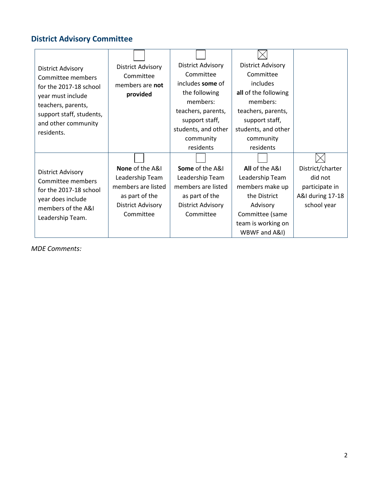# **District Advisory Committee**

| <b>District Advisory</b> | <b>District Advisory</b> | <b>District Advisory</b>   | <b>District Advisory</b> |                  |
|--------------------------|--------------------------|----------------------------|--------------------------|------------------|
| Committee members        | Committee                | Committee                  | Committee                |                  |
| for the 2017-18 school   | members are not          | includes some of           | includes                 |                  |
| year must include        | provided                 | the following              | all of the following     |                  |
| teachers, parents,       |                          | members:                   | members:                 |                  |
| support staff, students, |                          | teachers, parents,         | teachers, parents,       |                  |
| and other community      |                          | support staff,             | support staff,           |                  |
| residents.               |                          | students, and other        | students, and other      |                  |
|                          |                          | community                  | community                |                  |
|                          |                          | residents                  | residents                |                  |
|                          |                          |                            |                          |                  |
| <b>District Advisory</b> | <b>None</b> of the A&I   | <b>Some of the A&amp;I</b> | All of the A&I           | District/charter |
| Committee members        | Leadership Team          | Leadership Team            | Leadership Team          | did not          |
| for the 2017-18 school   | members are listed       | members are listed         | members make up          | participate in   |
| year does include        | as part of the           | as part of the             | the District             | A&I during 17-18 |
| members of the A&I       | <b>District Advisory</b> | <b>District Advisory</b>   | Advisory                 | school year      |
| Leadership Team.         | Committee                | Committee                  | Committee (same          |                  |
|                          |                          |                            | team is working on       |                  |
|                          |                          |                            | WBWF and A&I)            |                  |

*MDE Comments:*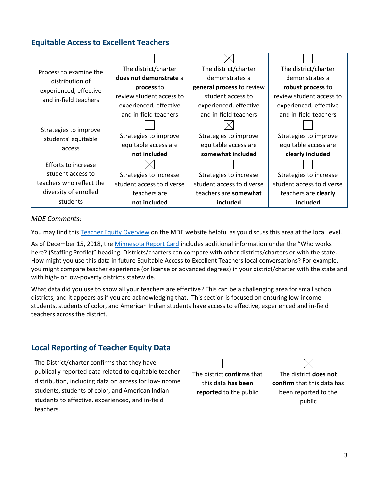## **Equitable Access to Excellent Teachers**

| Process to examine the     | The district/charter      | The district/charter      | The district/charter      |
|----------------------------|---------------------------|---------------------------|---------------------------|
| distribution of            | does not demonstrate a    | demonstrates a            | demonstrates a            |
| experienced, effective     | process to                | general process to review | robust process to         |
| and in-field teachers      | review student access to  | student access to         | review student access to  |
|                            | experienced, effective    | experienced, effective    | experienced, effective    |
|                            | and in-field teachers     | and in-field teachers     | and in-field teachers     |
| Strategies to improve      |                           |                           |                           |
| students' equitable        | Strategies to improve     | Strategies to improve     | Strategies to improve     |
| access                     | equitable access are      | equitable access are      | equitable access are      |
|                            | not included              | somewhat included         | clearly included          |
| <b>Efforts to increase</b> |                           |                           |                           |
| student access to          | Strategies to increase    | Strategies to increase    | Strategies to increase    |
| teachers who reflect the   | student access to diverse | student access to diverse | student access to diverse |
| diversity of enrolled      | teachers are              | teachers are somewhat     | teachers are clearly      |
| students                   | not included              | included                  | included                  |

#### *MDE Comments:*

You may find this [Teacher Equity Overview](https://education.mn.gov/MDE/dse/wbwf/MDE075196) on the MDE website helpful as you discuss this area at the local level.

As of December 15, 2018, the [Minnesota Report Card](http://rc.education.state.mn.us/) includes additional information under the "Who works here? (Staffing Profile)" heading. Districts/charters can compare with other districts/charters or with the state. How might you use this data in future Equitable Access to Excellent Teachers local conversations? For example, you might compare teacher experience (or license or advanced degrees) in your district/charter with the state and with high- or low-poverty districts statewide.

What data did you use to show all your teachers are effective? This can be a challenging area for small school districts, and it appears as if you are acknowledging that. This section is focused on ensuring low-income students, students of color, and American Indian students have access to effective, experienced and in-field teachers across the district.

## **Local Reporting of Teacher Equity Data**

| The District/charter confirms that they have          |                            |                            |
|-------------------------------------------------------|----------------------------|----------------------------|
| publically reported data related to equitable teacher | The district confirms that | The district does not      |
| distribution, including data on access for low-income | this data has been         | confirm that this data has |
| students, students of color, and American Indian      | reported to the public     | been reported to the       |
| students to effective, experienced, and in-field      |                            | public                     |
| teachers.                                             |                            |                            |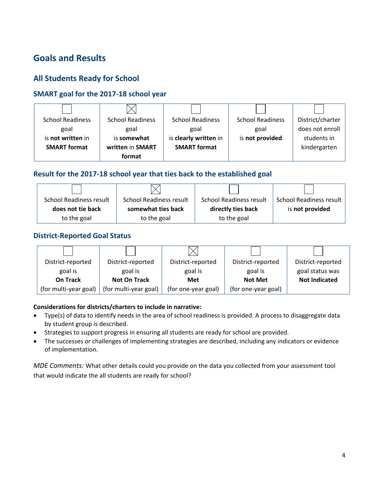# **Goals and Results**

# **All Students Ready for School**

#### **SMART goal for the 2017-18 school year**

| <b>School Readiness</b> | <b>School Readiness</b> | <b>School Readiness</b> | <b>School Readiness</b> | District/charter |
|-------------------------|-------------------------|-------------------------|-------------------------|------------------|
| goal                    | goal                    | goal                    | goal                    | does not enroll  |
| is not written in       | is somewhat             | is clearly written in   | is not provided         | students in      |
| <b>SMART format</b>     | written in SMART        | <b>SMART</b> format     |                         | kindergarten     |
|                         | format                  |                         |                         |                  |

#### **Result for the 2017-18 school year that ties back to the established goal**

| <b>School Readiness result</b> | School Readiness result | <b>School Readiness result</b> | <b>School Readiness result</b> |
|--------------------------------|-------------------------|--------------------------------|--------------------------------|
| does not tie back              | somewhat ties back      | directly ties back             | is not provided                |
| to the goal                    | to the goal             | to the goal                    |                                |

#### **District-Reported Goal Status**

| District-reported     | District-reported     | District-reported   | District-reported   | District-reported    |
|-----------------------|-----------------------|---------------------|---------------------|----------------------|
| goal is               | goal is               | goal is             | goal is             | goal status was      |
| On Track              | <b>Not On Track</b>   | Met                 | <b>Not Met</b>      | <b>Not Indicated</b> |
| (for multi-year goal) | (for multi-year goal) | (for one-year goal) | (for one-year goal) |                      |

#### **Considerations for districts/charters to include in narrative:**

- Type(s) of data to identify needs in the area of school readiness is provided. A process to disaggregate data by student group is described.
- Strategies to support progress in ensuring all students are ready for school are provided.
- The successes or challenges of implementing strategies are described, including any indicators or evidence of implementation.

*MDE Comments:* What other details could you provide on the data you collected from your assessment tool that would indicate the all students are ready for school?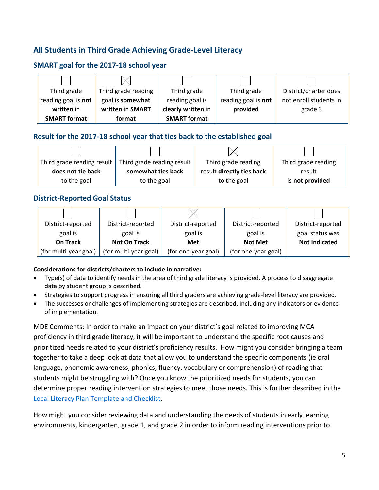# **All Students in Third Grade Achieving Grade-Level Literacy**

#### **SMART goal for the 2017-18 school year**

| Third grade         | Third grade reading | Third grade         | Third grade         | District/charter does  |
|---------------------|---------------------|---------------------|---------------------|------------------------|
| reading goal is not | goal is somewhat    | reading goal is     | reading goal is not | not enroll students in |
| written in          | written in SMART    | clearly written in  | provided            | grade 3                |
| <b>SMART</b> format | format              | <b>SMART format</b> |                     |                        |

#### **Result for the 2017-18 school year that ties back to the established goal**

| Third grade reading result | Third grade reading result | Third grade reading       | Third grade reading |
|----------------------------|----------------------------|---------------------------|---------------------|
| does not tie back          | somewhat ties back         | result directly ties back | result              |
| to the goal                | to the goal                | to the goal               | is not provided     |

#### **District-Reported Goal Status**

| District-reported     | District-reported     | District-reported   | District-reported   | District-reported    |
|-----------------------|-----------------------|---------------------|---------------------|----------------------|
| goal is               | goal is               | goal is             | goal is             | goal status was      |
| On Track              | <b>Not On Track</b>   | Met                 | <b>Not Met</b>      | <b>Not Indicated</b> |
| (for multi-year goal) | (for multi-year goal) | (for one-year goal) | (for one-year goal) |                      |

#### **Considerations for districts/charters to include in narrative:**

- Type(s) of data to identify needs in the area of third grade literacy is provided. A process to disaggregate data by student group is described.
- Strategies to support progress in ensuring all third graders are achieving grade-level literacy are provided.
- The successes or challenges of implementing strategies are described, including any indicators or evidence of implementation.

MDE Comments: In order to make an impact on your district's goal related to improving MCA proficiency in third grade literacy, it will be important to understand the specific root causes and prioritized needs related to your district's proficiency results. How might you consider bringing a team together to take a deep look at data that allow you to understand the specific components (ie oral language, phonemic awareness, phonics, fluency, vocabulary or comprehension) of reading that students might be struggling with? Once you know the prioritized needs for students, you can determine proper reading intervention strategies to meet those needs. This is further described in the [Local Literacy Plan Template and Checklist.](https://education.mn.gov/MDE/dse/prof/dev/)

How might you consider reviewing data and understanding the needs of students in early learning environments, kindergarten, grade 1, and grade 2 in order to inform reading interventions prior to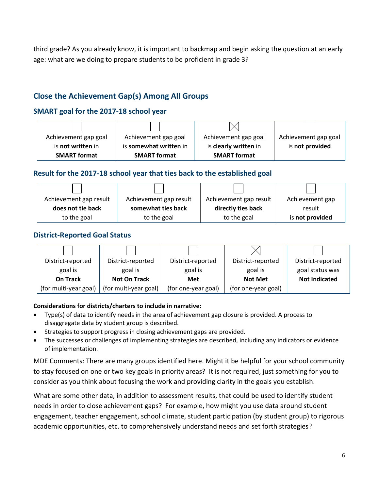third grade? As you already know, it is important to backmap and begin asking the question at an early age: what are we doing to prepare students to be proficient in grade 3?

# **Close the Achievement Gap(s) Among All Groups**

#### **SMART goal for the 2017-18 school year**

| Achievement gap goal | Achievement gap goal   | Achievement gap goal  | Achievement gap goal |
|----------------------|------------------------|-----------------------|----------------------|
| is not written in    | is somewhat written in | is clearly written in | is not provided      |
| <b>SMART format</b>  | <b>SMART format</b>    | <b>SMART</b> format   |                      |

#### **Result for the 2017-18 school year that ties back to the established goal**

| Achievement gap result                  | Achievement gap result | Achievement gap result | Achievement gap |
|-----------------------------------------|------------------------|------------------------|-----------------|
| somewhat ties back<br>does not tie back |                        | directly ties back     | result          |
| to the goal                             | to the goal            | to the goal            | is not provided |

#### **District-Reported Goal Status**



#### **Considerations for districts/charters to include in narrative:**

- Type(s) of data to identify needs in the area of achievement gap closure is provided. A process to disaggregate data by student group is described.
- Strategies to support progress in closing achievement gaps are provided.
- The successes or challenges of implementing strategies are described, including any indicators or evidence of implementation.

MDE Comments: There are many groups identified here. Might it be helpful for your school community to stay focused on one or two key goals in priority areas? It is not required, just something for you to consider as you think about focusing the work and providing clarity in the goals you establish.

What are some other data, in addition to assessment results, that could be used to identify student needs in order to close achievement gaps? For example, how might you use data around student engagement, teacher engagement, school climate, student participation (by student group) to rigorous academic opportunities, etc. to comprehensively understand needs and set forth strategies?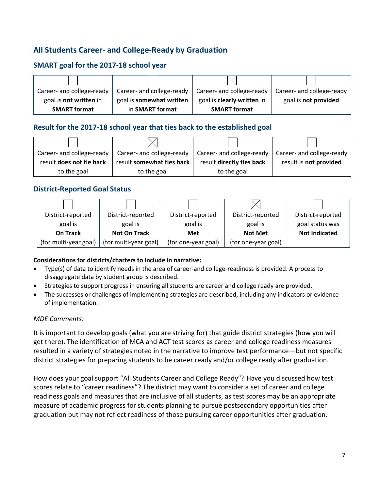# **All Students Career- and College-Ready by Graduation**

#### **SMART goal for the 2017-18 school year**



#### **Result for the 2017-18 school year that ties back to the established goal**

| Career- and college-ready | Career- and college-ready | Career- and college-ready | Career- and college-ready |
|---------------------------|---------------------------|---------------------------|---------------------------|
| result does not tie back  | result somewhat ties back | result directly ties back | result is not provided    |
| to the goal               | to the goal               | to the goal               |                           |

#### **District-Reported Goal Status**

| District-reported     | District-reported     | District-reported   | District-reported   | District-reported    |
|-----------------------|-----------------------|---------------------|---------------------|----------------------|
| goal is               | goal is               | goal is             | goal is             | goal status was      |
| <b>On Track</b>       | <b>Not On Track</b>   | <b>Met</b>          | <b>Not Met</b>      | <b>Not Indicated</b> |
| (for multi-year goal) | (for multi-year goal) | (for one-year goal) | (for one-year goal) |                      |

#### **Considerations for districts/charters to include in narrative:**

- Type(s) of data to identify needs in the area of career-and college-readiness is provided. A process to disaggregate data by student group is described.
- Strategies to support progress in ensuring all students are career and college ready are provided.
- The successes or challenges of implementing strategies are described, including any indicators or evidence of implementation.

#### *MDE Comments:*

It is important to develop goals (what you are striving for) that guide district strategies (how you will get there). The identification of MCA and ACT test scores as career and college readiness measures resulted in a variety of strategies noted in the narrative to improve test performance—but not specific district strategies for preparing students to be career ready and/or college ready after graduation.

How does your goal support "All Students Career and College Ready"? Have you discussed how test scores relate to "career readiness"? The district may want to consider a set of career and college readiness goals and measures that are inclusive of all students, as test scores may be an appropriate measure of academic progress for students planning to pursue postsecondary opportunities after graduation but may not reflect readiness of those pursuing career opportunities after graduation.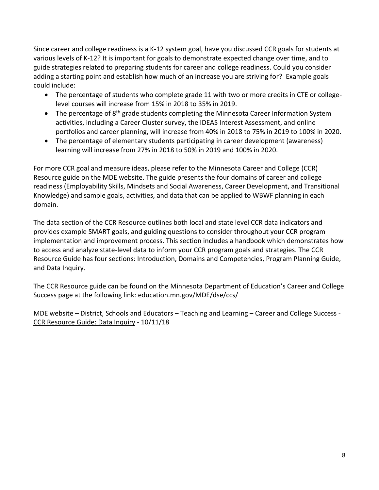Since career and college readiness is a K-12 system goal, have you discussed CCR goals for students at various levels of K-12? It is important for goals to demonstrate expected change over time, and to guide strategies related to preparing students for career and college readiness. Could you consider adding a starting point and establish how much of an increase you are striving for? Example goals could include:

- The percentage of students who complete grade 11 with two or more credits in CTE or collegelevel courses will increase from 15% in 2018 to 35% in 2019.
- $\bullet$  The percentage of 8<sup>th</sup> grade students completing the Minnesota Career Information System activities, including a Career Cluster survey, the IDEAS Interest Assessment, and online portfolios and career planning, will increase from 40% in 2018 to 75% in 2019 to 100% in 2020.
- The percentage of elementary students participating in career development (awareness) learning will increase from 27% in 2018 to 50% in 2019 and 100% in 2020.

For more CCR goal and measure ideas, please refer to the Minnesota Career and College (CCR) Resource guide on the MDE website. The guide presents the four domains of career and college readiness (Employability Skills, Mindsets and Social Awareness, Career Development, and Transitional Knowledge) and sample goals, activities, and data that can be applied to WBWF planning in each domain.

The data section of the CCR Resource outlines both local and state level CCR data indicators and provides example SMART goals, and guiding questions to consider throughout your CCR program implementation and improvement process. This section includes a handbook which demonstrates how to access and analyze state-level data to inform your CCR program goals and strategies. The CCR Resource Guide has four sections: Introduction, Domains and Competencies, Program Planning Guide, and Data Inquiry.

The CCR Resource guide can be found on the Minnesota Department of Education's Career and College Success page at the following link: education.mn.gov/MDE/dse/ccs/

MDE website – District, Schools and Educators – Teaching and Learning – Career and College Success - [CCR Resource Guide: Data Inquiry](https://education.mn.gov/mdeprod/idcplg?IdcService=GET_FILE&dDocName=MDE075304&RevisionSelectionMethod=latestReleased&Rendition=primary) - 10/11/18